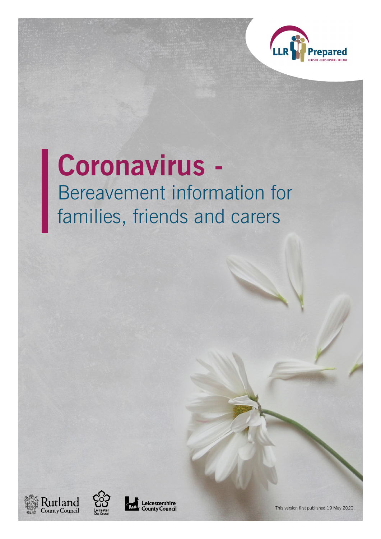

# **Coronavirus -**  Bereavement information for families, friends and carers







This version first published 19 May 2020.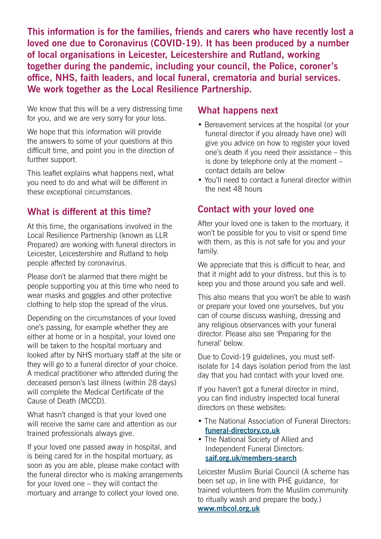**This information is for the families, friends and carers who have recently lost a loved one due to Coronavirus (COVID-19). It has been produced by a number of local organisations in Leicester, Leicestershire and Rutland, working together during the pandemic, including your council, the Police, coroner's office, NHS, faith leaders, and local funeral, crematoria and burial services. We work together as the Local Resilience Partnership.**

We know that this will be a very distressing time for you, and we are very sorry for your loss.

We hope that this information will provide the answers to some of your questions at this difficult time, and point you in the direction of further support.

This leaflet explains what happens next, what you need to do and what will be different in these exceptional circumstances.

## **What is different at this time?**

At this time, the organisations involved in the Local Resilience Partnership (known as LLR Prepared) are working with funeral directors in Leicester, Leicestershire and Rutland to help people affected by coronavirus.

Please don't be alarmed that there might be people supporting you at this time who need to wear masks and goggles and other protective clothing to help stop the spread of the virus.

Depending on the circumstances of your loved one's passing, for example whether they are either at home or in a hospital, your loved one will be taken to the hospital mortuary and looked after by NHS mortuary staff at the site or they will go to a funeral director of your choice. A medical practitioner who attended during the deceased person's last illness (within 28 days) will complete the Medical Certificate of the Cause of Death (MCCD).

What hasn't changed is that your loved one will receive the same care and attention as our trained professionals always give.

If your loved one passed away in hospital, and is being cared for in the hospital mortuary, as soon as you are able, please make contact with the funeral director who is making arrangements for your loved one – they will contact the mortuary and arrange to collect your loved one.

#### **What happens next**

- Bereavement services at the hospital (or your funeral director if you already have one) will give you advice on how to register your loved one's death if you need their assistance – this is done by telephone only at the moment – contact details are below
- You'll need to contact a funeral director within the next 48 hours

# **Contact with your loved one**

After your loved one is taken to the mortuary, it won't be possible for you to visit or spend time with them, as this is not safe for you and your family.

We appreciate that this is difficult to hear, and that it might add to your distress, but this is to keep you and those around you safe and well.

This also means that you won't be able to wash or prepare your loved one yourselves, but you can of course discuss washing, dressing and any religious observances with your funeral director. Please also see 'Preparing for the funeral' below.

Due to Covid-19 guidelines, you must selfisolate for 14 days isolation period from the last day that you had contact with your loved one.

If you haven't got a funeral director in mind, you can find industry inspected local funeral directors on these websites:

- The National Association of Funeral Directors: **[funeral-directory.co.uk](http://www.funeral-directory.co.uk)**
- The National Society of Allied and Independent Funeral Directors: **[saif.org.uk/members-search](http://www.saif.org.uk/members-search)**

Leicester Muslim Burial Council (A scheme has been set up, in line with PHE guidance, for trained volunteers from the Muslim community to ritually wash and prepare the body.) **[www.mbcol.org.uk](http://www.mbcol.org.uk)**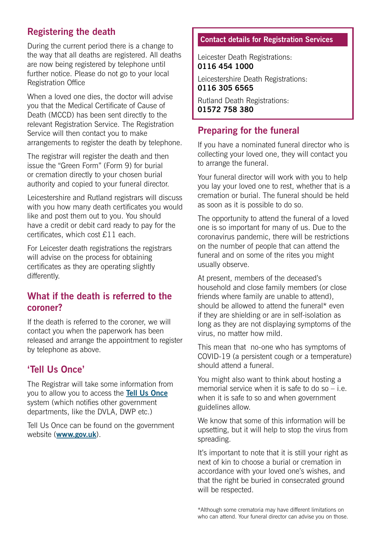# **Registering the death**

During the current period there is a change to the way that all deaths are registered. All deaths are now being registered by telephone until further notice. Please do not go to your local Registration Office

When a loved one dies, the doctor will advise you that the Medical Certificate of Cause of Death (MCCD) has been sent directly to the relevant Registration Service. The Registration Service will then contact you to make arrangements to register the death by telephone.

The registrar will register the death and then issue the "Green Form" (Form 9) for burial or cremation directly to your chosen burial authority and copied to your funeral director.

Leicestershire and Rutland registrars will discuss with you how many death certificates you would like and post them out to you. You should have a credit or debit card ready to pay for the certificates, which cost £11 each.

For Leicester death registrations the registrars will advise on the process for obtaining certificates as they are operating slightly differently.

## **What if the death is referred to the coroner?**

If the death is referred to the coroner, we will contact you when the paperwork has been released and arrange the appointment to register by telephone as above.

# **'Tell Us Once'**

The Registrar will take some information from you to allow you to access the **[Tell Us Once](https://www.gov.uk/after-a-death/organisations-you-need-to-contact-and-tell-us-once)** system (which notifies other government departments, like the DVLA, DWP etc.)

Tell Us Once can be found on the government website (**[www.gov.uk](http://www.gov.uk)**).

#### **Contact details for Registration Services**

Leicester Death Registrations: **0116 454 1000**

Leicestershire Death Registrations: **0116 305 6565**

Rutland Death Registrations: **01572 758 380**

### **Preparing for the funeral**

If you have a nominated funeral director who is collecting your loved one, they will contact you to arrange the funeral.

Your funeral director will work with you to help you lay your loved one to rest, whether that is a cremation or burial. The funeral should be held as soon as it is possible to do so.

The opportunity to attend the funeral of a loved one is so important for many of us. Due to the coronavirus pandemic, there will be restrictions on the number of people that can attend the funeral and on some of the rites you might usually observe.

At present, members of the deceased's household and close family members (or close friends where family are unable to attend), should be allowed to attend the funeral\* even if they are shielding or are in self-isolation as long as they are not displaying symptoms of the virus, no matter how mild.

This mean that no-one who has symptoms of COVID-19 (a persistent cough or a temperature) should attend a funeral.

You might also want to think about hosting a memorial service when it is safe to do so – i.e. when it is safe to so and when government guidelines allow.

We know that some of this information will be upsetting, but it will help to stop the virus from spreading.

It's important to note that it is still your right as next of kin to choose a burial or cremation in accordance with your loved one's wishes, and that the right be buried in consecrated ground will be respected.

\*Although some crematoria may have different limitations on who can attend. Your funeral director can advise you on those.